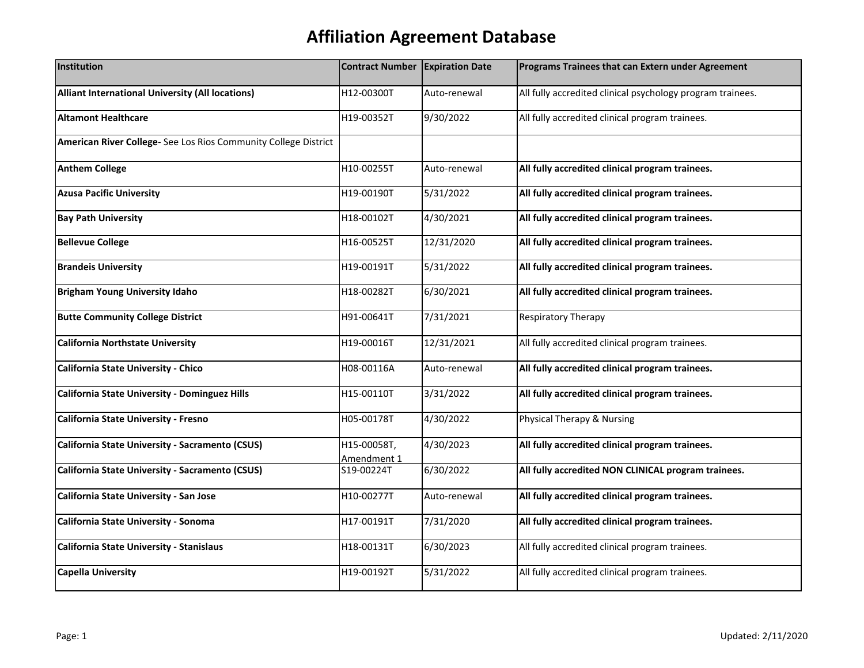| Institution                                                     | Contract Number            | <b>Expiration Date</b> | Programs Trainees that can Extern under Agreement          |
|-----------------------------------------------------------------|----------------------------|------------------------|------------------------------------------------------------|
| Alliant International University (All locations)                | H12-00300T                 | Auto-renewal           | All fully accredited clinical psychology program trainees. |
| <b>Altamont Healthcare</b>                                      | H19-00352T                 | 9/30/2022              | All fully accredited clinical program trainees.            |
| American River College- See Los Rios Community College District |                            |                        |                                                            |
| <b>Anthem College</b>                                           | H10-00255T                 | Auto-renewal           | All fully accredited clinical program trainees.            |
| <b>Azusa Pacific University</b>                                 | H19-00190T                 | 5/31/2022              | All fully accredited clinical program trainees.            |
| <b>Bay Path University</b>                                      | H18-00102T                 | 4/30/2021              | All fully accredited clinical program trainees.            |
| <b>Bellevue College</b>                                         | H16-00525T                 | 12/31/2020             | All fully accredited clinical program trainees.            |
| <b>Brandeis University</b>                                      | H19-00191T                 | 5/31/2022              | All fully accredited clinical program trainees.            |
| <b>Brigham Young University Idaho</b>                           | H18-00282T                 | 6/30/2021              | All fully accredited clinical program trainees.            |
| <b>Butte Community College District</b>                         | H91-00641T                 | 7/31/2021              | Respiratory Therapy                                        |
| <b>California Northstate University</b>                         | H19-00016T                 | 12/31/2021             | All fully accredited clinical program trainees.            |
| California State University - Chico                             | H08-00116A                 | Auto-renewal           | All fully accredited clinical program trainees.            |
| <b>California State University - Dominguez Hills</b>            | H15-00110T                 | 3/31/2022              | All fully accredited clinical program trainees.            |
| California State University - Fresno                            | H05-00178T                 | 4/30/2022              | Physical Therapy & Nursing                                 |
| California State University - Sacramento (CSUS)                 | H15-00058T,<br>Amendment 1 | 4/30/2023              | All fully accredited clinical program trainees.            |
| California State University - Sacramento (CSUS)                 | S19-00224T                 | 6/30/2022              | All fully accredited NON CLINICAL program trainees.        |
| California State University - San Jose                          | H10-00277T                 | Auto-renewal           | All fully accredited clinical program trainees.            |
| California State University - Sonoma                            | H17-00191T                 | 7/31/2020              | All fully accredited clinical program trainees.            |
| California State University - Stanislaus                        | H18-00131T                 | 6/30/2023              | All fully accredited clinical program trainees.            |
| <b>Capella University</b>                                       | H19-00192T                 | 5/31/2022              | All fully accredited clinical program trainees.            |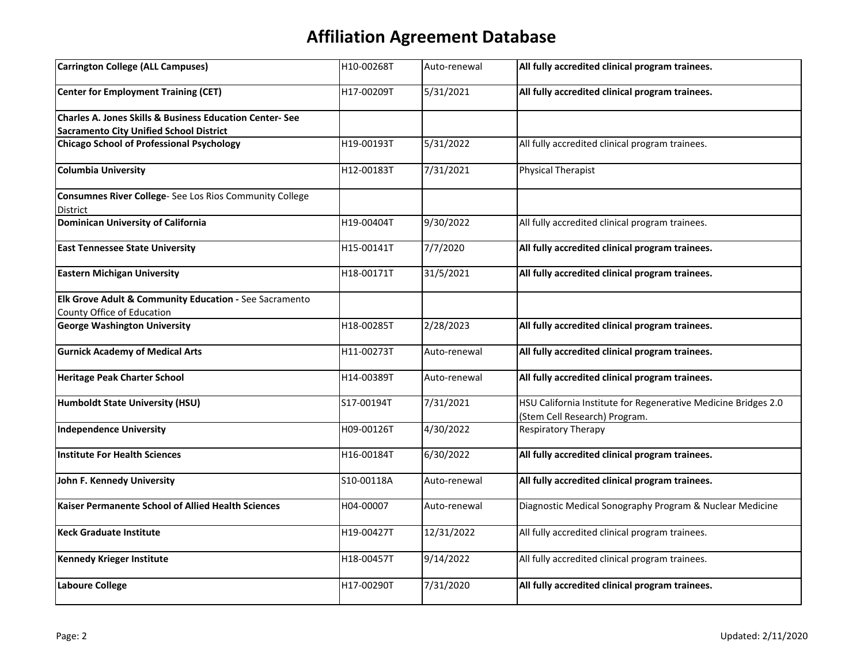| H10-00268T | Auto-renewal | All fully accredited clinical program trainees.                |
|------------|--------------|----------------------------------------------------------------|
| H17-00209T | 5/31/2021    | All fully accredited clinical program trainees.                |
|            |              |                                                                |
|            |              |                                                                |
|            |              | All fully accredited clinical program trainees.                |
| H12-00183T | 7/31/2021    | <b>Physical Therapist</b>                                      |
|            |              |                                                                |
| H19-00404T | 9/30/2022    | All fully accredited clinical program trainees.                |
| H15-00141T | 7/7/2020     | All fully accredited clinical program trainees.                |
| H18-00171T | 31/5/2021    | All fully accredited clinical program trainees.                |
|            |              |                                                                |
|            |              |                                                                |
| H18-00285T | 2/28/2023    | All fully accredited clinical program trainees.                |
| H11-00273T | Auto-renewal | All fully accredited clinical program trainees.                |
| H14-00389T | Auto-renewal | All fully accredited clinical program trainees.                |
| S17-00194T | 7/31/2021    | HSU California Institute for Regenerative Medicine Bridges 2.0 |
|            |              | (Stem Cell Research) Program.                                  |
| H09-00126T | 4/30/2022    | <b>Respiratory Therapy</b>                                     |
| H16-00184T | 6/30/2022    | All fully accredited clinical program trainees.                |
| S10-00118A | Auto-renewal | All fully accredited clinical program trainees.                |
| H04-00007  | Auto-renewal | Diagnostic Medical Sonography Program & Nuclear Medicine       |
| H19-00427T | 12/31/2022   | All fully accredited clinical program trainees.                |
| H18-00457T | 9/14/2022    | All fully accredited clinical program trainees.                |
| H17-00290T | 7/31/2020    | All fully accredited clinical program trainees.                |
|            | H19-00193T   | 5/31/2022                                                      |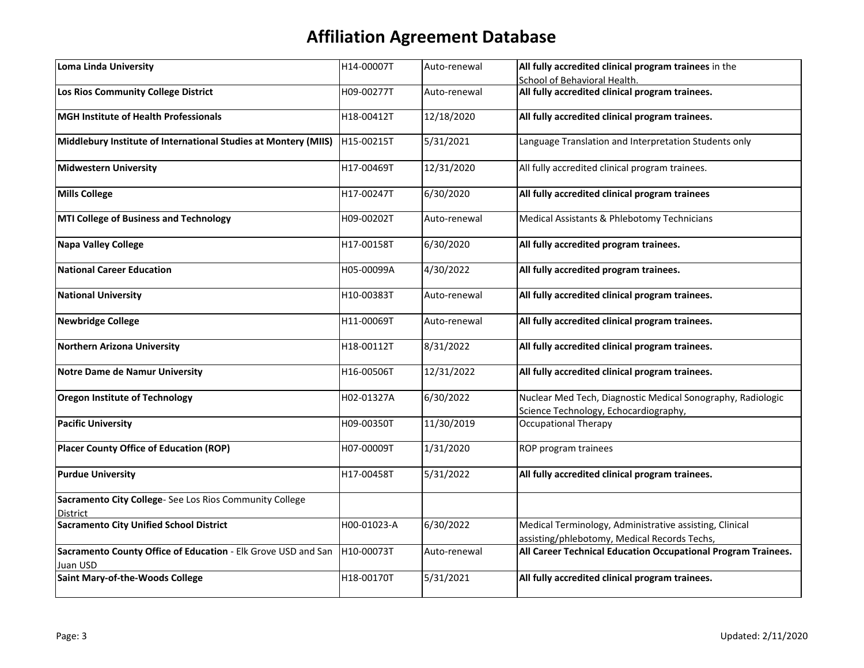| Loma Linda University                                                     | H14-00007T  | Auto-renewal | All fully accredited clinical program trainees in the                                                |
|---------------------------------------------------------------------------|-------------|--------------|------------------------------------------------------------------------------------------------------|
|                                                                           |             |              | School of Behavioral Health.                                                                         |
| Los Rios Community College District                                       | H09-00277T  | Auto-renewal | All fully accredited clinical program trainees.                                                      |
| MGH Institute of Health Professionals                                     | H18-00412T  | 12/18/2020   | All fully accredited clinical program trainees.                                                      |
| Middlebury Institute of International Studies at Montery (MIIS)           | H15-00215T  | 5/31/2021    | Language Translation and Interpretation Students only                                                |
| <b>Midwestern University</b>                                              | H17-00469T  | 12/31/2020   | All fully accredited clinical program trainees.                                                      |
| <b>Mills College</b>                                                      | H17-00247T  | 6/30/2020    | All fully accredited clinical program trainees                                                       |
| MTI College of Business and Technology                                    | H09-00202T  | Auto-renewal | Medical Assistants & Phlebotomy Technicians                                                          |
| <b>Napa Valley College</b>                                                | H17-00158T  | 6/30/2020    | All fully accredited program trainees.                                                               |
| <b>National Career Education</b>                                          | H05-00099A  | 4/30/2022    | All fully accredited program trainees.                                                               |
| <b>National University</b>                                                | H10-00383T  | Auto-renewal | All fully accredited clinical program trainees.                                                      |
| <b>Newbridge College</b>                                                  | H11-00069T  | Auto-renewal | All fully accredited clinical program trainees.                                                      |
| <b>Northern Arizona University</b>                                        | H18-00112T  | 8/31/2022    | All fully accredited clinical program trainees.                                                      |
| <b>Notre Dame de Namur University</b>                                     | H16-00506T  | 12/31/2022   | All fully accredited clinical program trainees.                                                      |
| <b>Oregon Institute of Technology</b>                                     | H02-01327A  | 6/30/2022    | Nuclear Med Tech, Diagnostic Medical Sonography, Radiologic<br>Science Technology, Echocardiography, |
| <b>Pacific University</b>                                                 | H09-00350T  | 11/30/2019   | <b>Occupational Therapy</b>                                                                          |
| <b>Placer County Office of Education (ROP)</b>                            | H07-00009T  | 1/31/2020    | ROP program trainees                                                                                 |
| <b>Purdue University</b>                                                  | H17-00458T  | 5/31/2022    | All fully accredited clinical program trainees.                                                      |
| Sacramento City College-See Los Rios Community College                    |             |              |                                                                                                      |
| <b>District</b>                                                           |             |              |                                                                                                      |
| <b>Sacramento City Unified School District</b>                            | H00-01023-A | 6/30/2022    | Medical Terminology, Administrative assisting, Clinical                                              |
|                                                                           |             |              | assisting/phlebotomy, Medical Records Techs,                                                         |
| Sacramento County Office of Education - Elk Grove USD and San<br>Juan USD | H10-00073T  | Auto-renewal | All Career Technical Education Occupational Program Trainees.                                        |
| Saint Mary-of-the-Woods College                                           | H18-00170T  | 5/31/2021    | All fully accredited clinical program trainees.                                                      |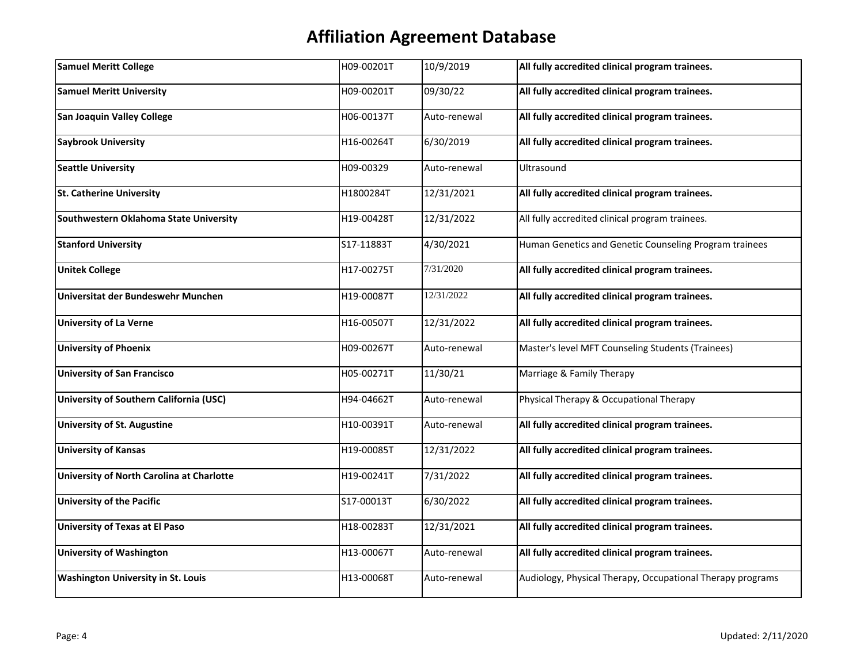| <b>Samuel Meritt College</b>              | H09-00201T | 10/9/2019    | All fully accredited clinical program trainees.            |
|-------------------------------------------|------------|--------------|------------------------------------------------------------|
| <b>Samuel Meritt University</b>           | H09-00201T | 09/30/22     | All fully accredited clinical program trainees.            |
| <b>San Joaquin Valley College</b>         | H06-00137T | Auto-renewal | All fully accredited clinical program trainees.            |
| <b>Saybrook University</b>                | H16-00264T | 6/30/2019    | All fully accredited clinical program trainees.            |
| <b>Seattle University</b>                 | H09-00329  | Auto-renewal | Ultrasound                                                 |
| <b>St. Catherine University</b>           | H1800284T  | 12/31/2021   | All fully accredited clinical program trainees.            |
| Southwestern Oklahoma State University    | H19-00428T | 12/31/2022   | All fully accredited clinical program trainees.            |
| <b>Stanford University</b>                | S17-11883T | 4/30/2021    | Human Genetics and Genetic Counseling Program trainees     |
| <b>Unitek College</b>                     | H17-00275T | 7/31/2020    | All fully accredited clinical program trainees.            |
| Universitat der Bundeswehr Munchen        | H19-00087T | 12/31/2022   | All fully accredited clinical program trainees.            |
| <b>University of La Verne</b>             | H16-00507T | 12/31/2022   | All fully accredited clinical program trainees.            |
| <b>University of Phoenix</b>              | H09-00267T | Auto-renewal | Master's level MFT Counseling Students (Trainees)          |
| <b>University of San Francisco</b>        | H05-00271T | 11/30/21     | Marriage & Family Therapy                                  |
| University of Southern California (USC)   | H94-04662T | Auto-renewal | Physical Therapy & Occupational Therapy                    |
| <b>University of St. Augustine</b>        | H10-00391T | Auto-renewal | All fully accredited clinical program trainees.            |
| <b>University of Kansas</b>               | H19-00085T | 12/31/2022   | All fully accredited clinical program trainees.            |
| University of North Carolina at Charlotte | H19-00241T | 7/31/2022    | All fully accredited clinical program trainees.            |
| <b>University of the Pacific</b>          | S17-00013T | 6/30/2022    | All fully accredited clinical program trainees.            |
| <b>University of Texas at El Paso</b>     | H18-00283T | 12/31/2021   | All fully accredited clinical program trainees.            |
| <b>University of Washington</b>           | H13-00067T | Auto-renewal | All fully accredited clinical program trainees.            |
| <b>Washington University in St. Louis</b> | H13-00068T | Auto-renewal | Audiology, Physical Therapy, Occupational Therapy programs |